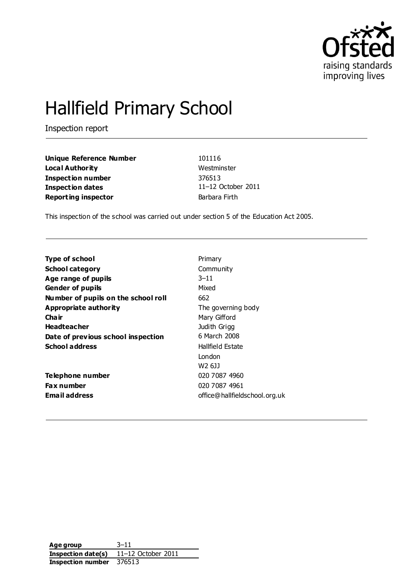

# Hallfield Primary School

Inspection report

**Unique Reference Number** 101116 **Local Authority** Westminster **Inspection number** 376513 **Inspection dates** 11–12 October 2011 **Reporting inspector Barbara Firth** 

This inspection of the school was carried out under section 5 of the Education Act 2005.

| Type of school                      | Primary                       |
|-------------------------------------|-------------------------------|
| <b>School category</b>              | Community                     |
| Age range of pupils                 | $3 - 11$                      |
| <b>Gender of pupils</b>             | Mixed                         |
| Number of pupils on the school roll | 662                           |
| Appropriate authority               | The governing body            |
| Cha ir                              | Mary Gifford                  |
| <b>Headteacher</b>                  | Judith Grigg                  |
| Date of previous school inspection  | 6 March 2008                  |
| <b>School address</b>               | Hallfield Estate              |
|                                     | London                        |
|                                     | W2 6JJ                        |
| Telephone number                    | 020 7087 4960                 |
| Fax number                          | 020 7087 4961                 |
| Email address                       | office@hallfieldschool.org.uk |
|                                     |                               |

**Age group** 3–11 **Inspection date(s)** 11–12 October 2011 **Inspection number** 376513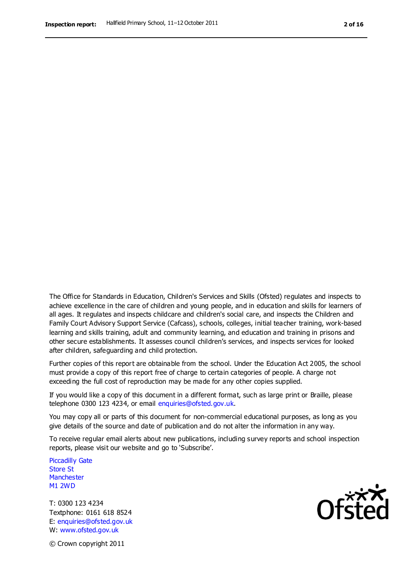The Office for Standards in Education, Children's Services and Skills (Ofsted) regulates and inspects to achieve excellence in the care of children and young people, and in education and skills for learners of all ages. It regulates and inspects childcare and children's social care, and inspects the Children and Family Court Advisory Support Service (Cafcass), schools, colleges, initial teacher training, work-based learning and skills training, adult and community learning, and education and training in prisons and other secure establishments. It assesses council children's services, and inspects services for looked after children, safeguarding and child protection.

Further copies of this report are obtainable from the school. Under the Education Act 2005, the school must provide a copy of this report free of charge to certain categories of people. A charge not exceeding the full cost of reproduction may be made for any other copies supplied.

If you would like a copy of this document in a different format, such as large print or Braille, please telephone 0300 123 4234, or email enquiries@ofsted.gov.uk.

You may copy all or parts of this document for non-commercial educational purposes, as long as you give details of the source and date of publication and do not alter the information in any way.

To receive regular email alerts about new publications, including survey reports and school inspection reports, please visit our website and go to 'Subscribe'.

Piccadilly Gate Store St **Manchester** M1 2WD

T: 0300 123 4234 Textphone: 0161 618 8524 E: enquiries@ofsted.gov.uk W: www.ofsted.gov.uk

**Ofcted** 

© Crown copyright 2011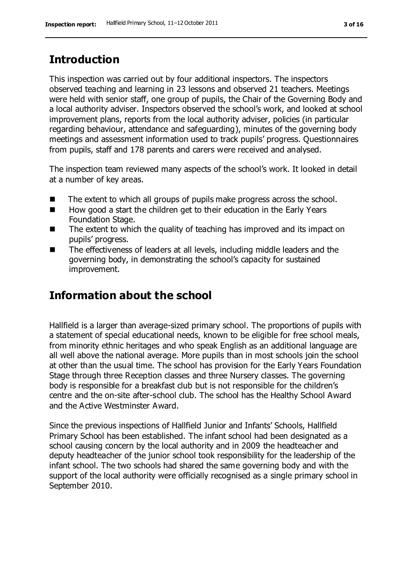# **Introduction**

This inspection was carried out by four additional inspectors. The inspectors observed teaching and learning in 23 lessons and observed 21 teachers. Meetings were held with senior staff, one group of pupils, the Chair of the Governing Body and a local authority adviser. Inspectors observed the school's work, and looked at school improvement plans, reports from the local authority adviser, policies (in particular regarding behaviour, attendance and safeguarding), minutes of the governing body meetings and assessment information used to track pupils' progress. Questionnaires from pupils, staff and 178 parents and carers were received and analysed.

The inspection team reviewed many aspects of the school's work. It looked in detail at a number of key areas.

- $\blacksquare$  The extent to which all groups of pupils make progress across the school.
- $\blacksquare$  How good a start the children get to their education in the Early Years Foundation Stage.
- The extent to which the quality of teaching has improved and its impact on pupils' progress.
- The effectiveness of leaders at all levels, including middle leaders and the governing body, in demonstrating the school's capacity for sustained improvement.

# **Information about the school**

Hallfield is a larger than average-sized primary school. The proportions of pupils with a statement of special educational needs, known to be eligible for free school meals, from minority ethnic heritages and who speak English as an additional language are all well above the national average. More pupils than in most schools join the school at other than the usual time. The school has provision for the Early Years Foundation Stage through three Reception classes and three Nursery classes. The governing body is responsible for a breakfast club but is not responsible for the children's centre and the on-site after-school club. The school has the Healthy School Award and the Active Westminster Award.

Since the previous inspections of Hallfield Junior and Infants' Schools, Hallfield Primary School has been established. The infant school had been designated as a school causing concern by the local authority and in 2009 the headteacher and deputy headteacher of the junior school took responsibility for the leadership of the infant school. The two schools had shared the same governing body and with the support of the local authority were officially recognised as a single primary school in September 2010.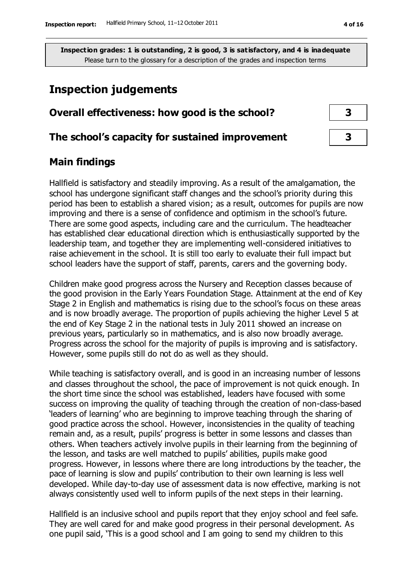## **Inspection judgements**

#### **Overall effectiveness: how good is the school? 3**

#### **The school's capacity for sustained improvement 3**

#### **Main findings**

Hallfield is satisfactory and steadily improving. As a result of the amalgamation, the school has undergone significant staff changes and the school's priority during this period has been to establish a shared vision; as a result, outcomes for pupils are now improving and there is a sense of confidence and optimism in the school's future. There are some good aspects, including care and the curriculum. The headteacher has established clear educational direction which is enthusiastically supported by the leadership team, and together they are implementing well-considered initiatives to raise achievement in the school. It is still too early to evaluate their full impact but school leaders have the support of staff, parents, carers and the governing body.

Children make good progress across the Nursery and Reception classes because of the good provision in the Early Years Foundation Stage. Attainment at the end of Key Stage 2 in English and mathematics is rising due to the school's focus on these areas and is now broadly average. The proportion of pupils achieving the higher Level 5 at the end of Key Stage 2 in the national tests in July 2011 showed an increase on previous years, particularly so in mathematics, and is also now broadly average. Progress across the school for the majority of pupils is improving and is satisfactory. However, some pupils still do not do as well as they should.

While teaching is satisfactory overall, and is good in an increasing number of lessons and classes throughout the school, the pace of improvement is not quick enough. In the short time since the school was established, leaders have focused with some success on improving the quality of teaching through the creation of non-class-based 'leaders of learning' who are beginning to improve teaching through the sharing of good practice across the school. However, inconsistencies in the quality of teaching remain and, as a result, pupils' progress is better in some lessons and classes than others. When teachers actively involve pupils in their learning from the beginning of the lesson, and tasks are well matched to pupils' abilities, pupils make good progress. However, in lessons where there are long introductions by the teacher, the pace of learning is slow and pupils' contribution to their own learning is less well developed. While day-to-day use of assessment data is now effective, marking is not always consistently used well to inform pupils of the next steps in their learning.

Hallfield is an inclusive school and pupils report that they enjoy school and feel safe. They are well cared for and make good progress in their personal development. As one pupil said, 'This is a good school and I am going to send my children to this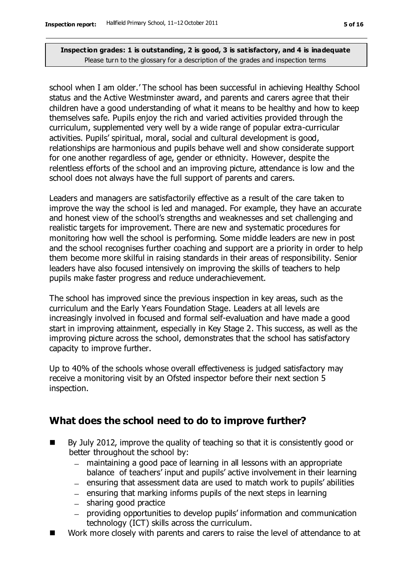school when I am older.' The school has been successful in achieving Healthy School status and the Active Westminster award, and parents and carers agree that their children have a good understanding of what it means to be healthy and how to keep themselves safe. Pupils enjoy the rich and varied activities provided through the curriculum, supplemented very well by a wide range of popular extra-curricular activities. Pupils' spiritual, moral, social and cultural development is good, relationships are harmonious and pupils behave well and show considerate support for one another regardless of age, gender or ethnicity. However, despite the relentless efforts of the school and an improving picture, attendance is low and the school does not always have the full support of parents and carers.

Leaders and managers are satisfactorily effective as a result of the care taken to improve the way the school is led and managed. For example, they have an accurate and honest view of the school's strengths and weaknesses and set challenging and realistic targets for improvement. There are new and systematic procedures for monitoring how well the school is performing. Some middle leaders are new in post and the school recognises further coaching and support are a priority in order to help them become more skilful in raising standards in their areas of responsibility. Senior leaders have also focused intensively on improving the skills of teachers to help pupils make faster progress and reduce underachievement.

The school has improved since the previous inspection in key areas, such as the curriculum and the Early Years Foundation Stage. Leaders at all levels are increasingly involved in focused and formal self-evaluation and have made a good start in improving attainment, especially in Key Stage 2. This success, as well as the improving picture across the school, demonstrates that the school has satisfactory capacity to improve further.

Up to 40% of the schools whose overall effectiveness is judged satisfactory may receive a monitoring visit by an Ofsted inspector before their next section 5 inspection.

## **What does the school need to do to improve further?**

- $\blacksquare$  By July 2012, improve the quality of teaching so that it is consistently good or better throughout the school by:
	- maintaining a good pace of learning in all lessons with an appropriate balance of teachers' input and pupils' active involvement in their learning
	- $-$  ensuring that assessment data are used to match work to pupils' abilities
	- $-$  ensuring that marking informs pupils of the next steps in learning
	- $-$  sharing good practice
	- providing opportunities to develop pupils' information and communication technology (ICT) skills across the curriculum.
- Work more closely with parents and carers to raise the level of attendance to at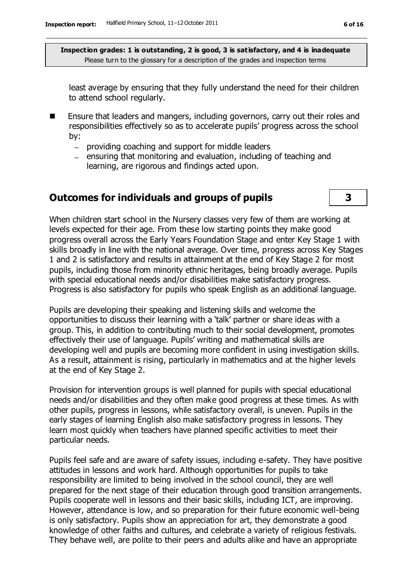least average by ensuring that they fully understand the need for their children to attend school regularly.

- **E** Ensure that leaders and mangers, including governors, carry out their roles and responsibilities effectively so as to accelerate pupils' progress across the school by:
	- providing coaching and support for middle leaders
	- $-$  ensuring that monitoring and evaluation, including of teaching and learning, are rigorous and findings acted upon.

#### **Outcomes for individuals and groups of pupils 3**

When children start school in the Nursery classes very few of them are working at levels expected for their age. From these low starting points they make good progress overall across the Early Years Foundation Stage and enter Key Stage 1 with skills broadly in line with the national average. Over time, progress across Key Stages 1 and 2 is satisfactory and results in attainment at the end of Key Stage 2 for most pupils, including those from minority ethnic heritages, being broadly average. Pupils with special educational needs and/or disabilities make satisfactory progress. Progress is also satisfactory for pupils who speak English as an additional language.

Pupils are developing their speaking and listening skills and welcome the opportunities to discuss their learning with a 'talk' partner or share ideas with a group. This, in addition to contributing much to their social development, promotes effectively their use of language. Pupils' writing and mathematical skills are developing well and pupils are becoming more confident in using investigation skills. As a result, attainment is rising, particularly in mathematics and at the higher levels at the end of Key Stage 2.

Provision for intervention groups is well planned for pupils with special educational needs and/or disabilities and they often make good progress at these times. As with other pupils, progress in lessons, while satisfactory overall, is uneven. Pupils in the early stages of learning English also make satisfactory progress in lessons. They learn most quickly when teachers have planned specific activities to meet their particular needs.

Pupils feel safe and are aware of safety issues, including e-safety. They have positive attitudes in lessons and work hard. Although opportunities for pupils to take responsibility are limited to being involved in the school council, they are well prepared for the next stage of their education through good transition arrangements. Pupils cooperate well in lessons and their basic skills, including ICT, are improving. However, attendance is low, and so preparation for their future economic well-being is only satisfactory. Pupils show an appreciation for art, they demonstrate a good knowledge of other faiths and cultures, and celebrate a variety of religious festivals. They behave well, are polite to their peers and adults alike and have an appropriate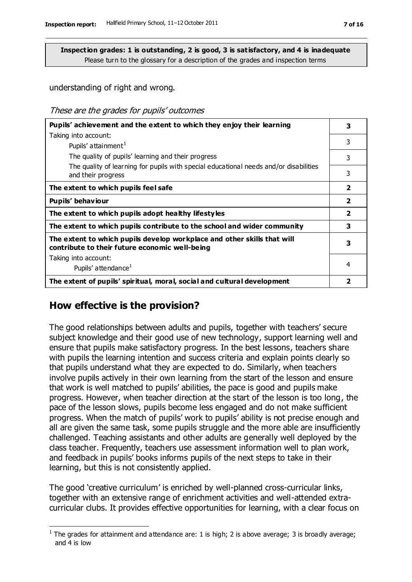understanding of right and wrong.

These are the grades for pupils' outcomes

| Pupils' achievement and the extent to which they enjoy their learning                                                     | 3                       |
|---------------------------------------------------------------------------------------------------------------------------|-------------------------|
| Taking into account:                                                                                                      |                         |
| Pupils' attainment <sup>1</sup>                                                                                           | 3                       |
| The quality of pupils' learning and their progress                                                                        | 3                       |
| The quality of learning for pupils with special educational needs and/or disabilities<br>and their progress               | 3                       |
| The extent to which pupils feel safe                                                                                      | $\overline{2}$          |
| Pupils' behaviour                                                                                                         | $\overline{\mathbf{2}}$ |
| The extent to which pupils adopt healthy lifestyles                                                                       | $\overline{\mathbf{2}}$ |
| The extent to which pupils contribute to the school and wider community                                                   | 3                       |
| The extent to which pupils develop workplace and other skills that will<br>contribute to their future economic well-being | 3                       |
| Taking into account:                                                                                                      |                         |
| Pupils' attendance <sup>1</sup>                                                                                           | 4                       |
| The extent of pupils' spiritual, moral, social and cultural development                                                   | 2                       |

#### **How effective is the provision?**

 $\overline{a}$ 

The good relationships between adults and pupils, together with teachers' secure subject knowledge and their good use of new technology, support learning well and ensure that pupils make satisfactory progress. In the best lessons, teachers share with pupils the learning intention and success criteria and explain points clearly so that pupils understand what they are expected to do. Similarly, when teachers involve pupils actively in their own learning from the start of the lesson and ensure that work is well matched to pupils' abilities, the pace is good and pupils make progress. However, when teacher direction at the start of the lesson is too long, the pace of the lesson slows, pupils become less engaged and do not make sufficient progress. When the match of pupils' work to pupils' ability is not precise enough and all are given the same task, some pupils struggle and the more able are insufficiently challenged. Teaching assistants and other adults are generally well deployed by the class teacher. Frequently, teachers use assessment information well to plan work, and feedback in pupils' books informs pupils of the next steps to take in their learning, but this is not consistently applied.

The good 'creative curriculum' is enriched by well-planned cross-curricular links, together with an extensive range of enrichment activities and well-attended extracurricular clubs. It provides effective opportunities for learning, with a clear focus on

<sup>&</sup>lt;sup>1</sup> The grades for attainment and attendance are: 1 is high; 2 is above average; 3 is broadly average; and 4 is low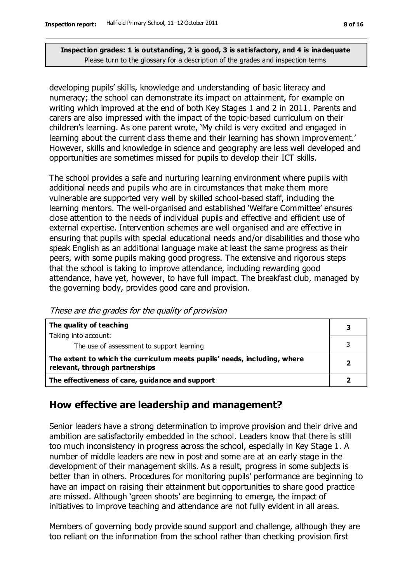developing pupils' skills, knowledge and understanding of basic literacy and numeracy; the school can demonstrate its impact on attainment, for example on writing which improved at the end of both Key Stages 1 and 2 in 2011. Parents and carers are also impressed with the impact of the topic-based curriculum on their children's learning. As one parent wrote, 'My child is very excited and engaged in learning about the current class theme and their learning has shown improvement.' However, skills and knowledge in science and geography are less well developed and opportunities are sometimes missed for pupils to develop their ICT skills.

The school provides a safe and nurturing learning environment where pupils with additional needs and pupils who are in circumstances that make them more vulnerable are supported very well by skilled school-based staff, including the learning mentors. The well-organised and established 'Welfare Committee' ensures close attention to the needs of individual pupils and effective and efficient use of external expertise. Intervention schemes are well organised and are effective in ensuring that pupils with special educational needs and/or disabilities and those who speak English as an additional language make at least the same progress as their peers, with some pupils making good progress. The extensive and rigorous steps that the school is taking to improve attendance, including rewarding good attendance, have yet, however, to have full impact. The breakfast club, managed by the governing body, provides good care and provision.

| The quality of teaching                                                                                    |                         |
|------------------------------------------------------------------------------------------------------------|-------------------------|
| Taking into account:                                                                                       |                         |
| The use of assessment to support learning                                                                  |                         |
| The extent to which the curriculum meets pupils' needs, including, where<br>relevant, through partnerships | $\overline{\mathbf{2}}$ |
| The effectiveness of care, guidance and support                                                            |                         |

These are the grades for the quality of provision

## **How effective are leadership and management?**

Senior leaders have a strong determination to improve provision and their drive and ambition are satisfactorily embedded in the school. Leaders know that there is still too much inconsistency in progress across the school, especially in Key Stage 1. A number of middle leaders are new in post and some are at an early stage in the development of their management skills. As a result, progress in some subjects is better than in others. Procedures for monitoring pupils' performance are beginning to have an impact on raising their attainment but opportunities to share good practice are missed. Although 'green shoots' are beginning to emerge, the impact of initiatives to improve teaching and attendance are not fully evident in all areas.

Members of governing body provide sound support and challenge, although they are too reliant on the information from the school rather than checking provision first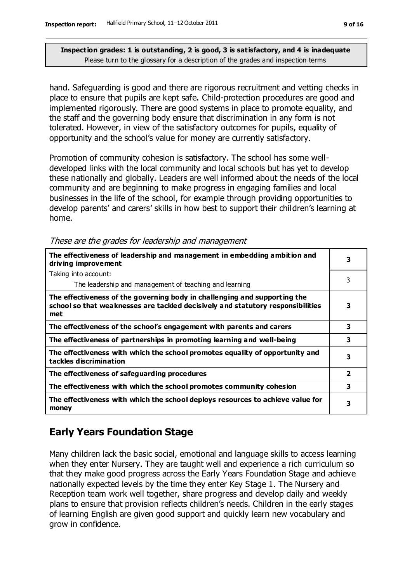hand. Safeguarding is good and there are rigorous recruitment and vetting checks in place to ensure that pupils are kept safe. Child-protection procedures are good and implemented rigorously. There are good systems in place to promote equality, and the staff and the governing body ensure that discrimination in any form is not tolerated. However, in view of the satisfactory outcomes for pupils, equality of opportunity and the school's value for money are currently satisfactory.

Promotion of community cohesion is satisfactory. The school has some welldeveloped links with the local community and local schools but has yet to develop these nationally and globally. Leaders are well informed about the needs of the local community and are beginning to make progress in engaging families and local businesses in the life of the school, for example through providing opportunities to develop parents' and carers' skills in how best to support their children's learning at home.

These are the grades for leadership and management

| The effectiveness of leadership and management in embedding ambition and<br>driving improvement                                                                     | 3                       |
|---------------------------------------------------------------------------------------------------------------------------------------------------------------------|-------------------------|
| Taking into account:                                                                                                                                                |                         |
| The leadership and management of teaching and learning                                                                                                              | 3                       |
| The effectiveness of the governing body in challenging and supporting the<br>school so that weaknesses are tackled decisively and statutory responsibilities<br>met | 3                       |
| The effectiveness of the school's engagement with parents and carers                                                                                                | 3                       |
| The effectiveness of partnerships in promoting learning and well-being                                                                                              | 3                       |
| The effectiveness with which the school promotes equality of opportunity and<br>tackles discrimination                                                              | 3                       |
| The effectiveness of safeguarding procedures                                                                                                                        | $\overline{\mathbf{2}}$ |
| The effectiveness with which the school promotes community cohesion                                                                                                 | 3                       |
| The effectiveness with which the school deploys resources to achieve value for<br>money                                                                             | 3                       |

## **Early Years Foundation Stage**

Many children lack the basic social, emotional and language skills to access learning when they enter Nursery. They are taught well and experience a rich curriculum so that they make good progress across the Early Years Foundation Stage and achieve nationally expected levels by the time they enter Key Stage 1. The Nursery and Reception team work well together, share progress and develop daily and weekly plans to ensure that provision reflects children's needs. Children in the early stages of learning English are given good support and quickly learn new vocabulary and grow in confidence.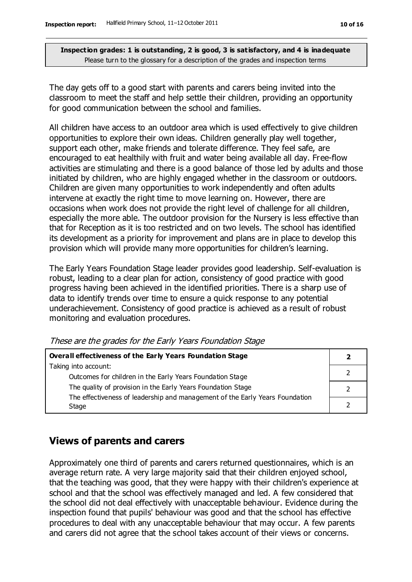The day gets off to a good start with parents and carers being invited into the classroom to meet the staff and help settle their children, providing an opportunity for good communication between the school and families.

All children have access to an outdoor area which is used effectively to give children opportunities to explore their own ideas. Children generally play well together, support each other, make friends and tolerate difference. They feel safe, are encouraged to eat healthily with fruit and water being available all day. Free-flow activities are stimulating and there is a good balance of those led by adults and those initiated by children, who are highly engaged whether in the classroom or outdoors. Children are given many opportunities to work independently and often adults intervene at exactly the right time to move learning on. However, there are occasions when work does not provide the right level of challenge for all children, especially the more able. The outdoor provision for the Nursery is less effective than that for Reception as it is too restricted and on two levels. The school has identified its development as a priority for improvement and plans are in place to develop this provision which will provide many more opportunities for children's learning.

The Early Years Foundation Stage leader provides good leadership. Self-evaluation is robust, leading to a clear plan for action, consistency of good practice with good progress having been achieved in the identified priorities. There is a sharp use of data to identify trends over time to ensure a quick response to any potential underachievement. Consistency of good practice is achieved as a result of robust monitoring and evaluation procedures.

| These are the grades for the Early Years Foundation Stage |  |  |  |
|-----------------------------------------------------------|--|--|--|
|                                                           |  |  |  |

| Overall effectiveness of the Early Years Foundation Stage                    |  |
|------------------------------------------------------------------------------|--|
| Taking into account:                                                         |  |
| Outcomes for children in the Early Years Foundation Stage                    |  |
| The quality of provision in the Early Years Foundation Stage                 |  |
| The effectiveness of leadership and management of the Early Years Foundation |  |
| Stage                                                                        |  |

## **Views of parents and carers**

Approximately one third of parents and carers returned questionnaires, which is an average return rate. A very large majority said that their children enjoyed school, that the teaching was good, that they were happy with their children's experience at school and that the school was effectively managed and led. A few considered that the school did not deal effectively with unacceptable behaviour. Evidence during the inspection found that pupils' behaviour was good and that the school has effective procedures to deal with any unacceptable behaviour that may occur. A few parents and carers did not agree that the school takes account of their views or concerns.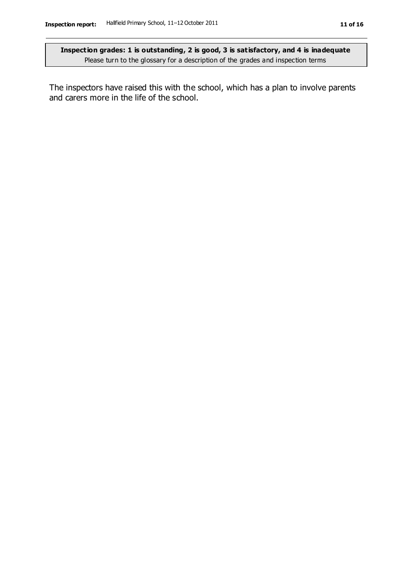The inspectors have raised this with the school, which has a plan to involve parents and carers more in the life of the school.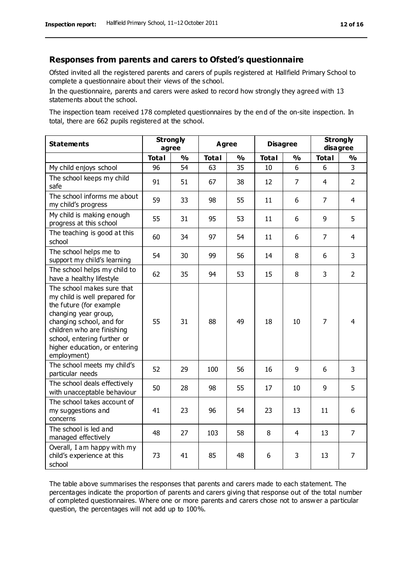#### **Responses from parents and carers to Ofsted's questionnaire**

Ofsted invited all the registered parents and carers of pupils registered at Hallfield Primary School to complete a questionnaire about their views of the school.

In the questionnaire, parents and carers were asked to record how strongly they agreed with 13 statements about the school.

The inspection team received 178 completed questionnaires by the end of the on-site inspection. In total, there are 662 pupils registered at the school.

| <b>Statements</b>                                                                                                                                                                                                                                       | <b>Strongly</b><br>agree |               | <b>Agree</b> |               | <b>Disagree</b> |    | <b>Strongly</b><br>disagree |                |
|---------------------------------------------------------------------------------------------------------------------------------------------------------------------------------------------------------------------------------------------------------|--------------------------|---------------|--------------|---------------|-----------------|----|-----------------------------|----------------|
|                                                                                                                                                                                                                                                         | <b>Total</b>             | $\frac{0}{0}$ | <b>Total</b> | $\frac{1}{2}$ | <b>Total</b>    | %  | <b>Total</b>                | %              |
| My child enjoys school                                                                                                                                                                                                                                  | 96                       | 54            | 63           | 35            | 10              | 6  | 6                           | $\overline{3}$ |
| The school keeps my child<br>safe                                                                                                                                                                                                                       | 91                       | 51            | 67           | 38            | 12              | 7  | 4                           | $\overline{2}$ |
| The school informs me about<br>my child's progress                                                                                                                                                                                                      | 59                       | 33            | 98           | 55            | 11              | 6  | $\overline{7}$              | $\overline{4}$ |
| My child is making enough<br>progress at this school                                                                                                                                                                                                    | 55                       | 31            | 95           | 53            | 11              | 6  | 9                           | 5              |
| The teaching is good at this<br>school                                                                                                                                                                                                                  | 60                       | 34            | 97           | 54            | 11              | 6  | $\overline{7}$              | $\overline{4}$ |
| The school helps me to<br>support my child's learning                                                                                                                                                                                                   | 54                       | 30            | 99           | 56            | 14              | 8  | 6                           | 3              |
| The school helps my child to<br>have a healthy lifestyle                                                                                                                                                                                                | 62                       | 35            | 94           | 53            | 15              | 8  | 3                           | $\overline{2}$ |
| The school makes sure that<br>my child is well prepared for<br>the future (for example<br>changing year group,<br>changing school, and for<br>children who are finishing<br>school, entering further or<br>higher education, or entering<br>employment) | 55                       | 31            | 88           | 49            | 18              | 10 | $\overline{7}$              | $\overline{4}$ |
| The school meets my child's<br>particular needs                                                                                                                                                                                                         | 52                       | 29            | 100          | 56            | 16              | 9  | 6                           | 3              |
| The school deals effectively<br>with unacceptable behaviour                                                                                                                                                                                             | 50                       | 28            | 98           | 55            | 17              | 10 | 9                           | 5              |
| The school takes account of<br>my suggestions and<br>concerns                                                                                                                                                                                           | 41                       | 23            | 96           | 54            | 23              | 13 | 11                          | 6              |
| The school is led and<br>managed effectively                                                                                                                                                                                                            | 48                       | 27            | 103          | 58            | 8               | 4  | 13                          | $\overline{7}$ |
| Overall, I am happy with my<br>child's experience at this<br>school                                                                                                                                                                                     | 73                       | 41            | 85           | 48            | 6               | 3  | 13                          | $\overline{7}$ |

The table above summarises the responses that parents and carers made to each statement. The percentages indicate the proportion of parents and carers giving that response out of the total number of completed questionnaires. Where one or more parents and carers chose not to answer a particular question, the percentages will not add up to 100%.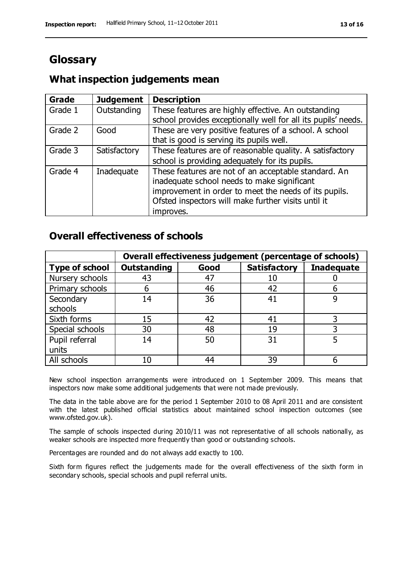# **Glossary**

## **What inspection judgements mean**

| <b>Grade</b> | <b>Judgement</b> | <b>Description</b>                                            |
|--------------|------------------|---------------------------------------------------------------|
| Grade 1      | Outstanding      | These features are highly effective. An outstanding           |
|              |                  | school provides exceptionally well for all its pupils' needs. |
| Grade 2      | Good             | These are very positive features of a school. A school        |
|              |                  | that is good is serving its pupils well.                      |
| Grade 3      | Satisfactory     | These features are of reasonable quality. A satisfactory      |
|              |                  | school is providing adequately for its pupils.                |
| Grade 4      | Inadequate       | These features are not of an acceptable standard. An          |
|              |                  | inadequate school needs to make significant                   |
|              |                  | improvement in order to meet the needs of its pupils.         |
|              |                  | Ofsted inspectors will make further visits until it           |
|              |                  | improves.                                                     |

## **Overall effectiveness of schools**

|                       |                    |      | Overall effectiveness judgement (percentage of schools) |                   |
|-----------------------|--------------------|------|---------------------------------------------------------|-------------------|
| <b>Type of school</b> | <b>Outstanding</b> | Good | <b>Satisfactory</b>                                     | <b>Inadequate</b> |
| Nursery schools       | 43                 | 47   | 10                                                      |                   |
| Primary schools       | 6                  | 46   | 42                                                      |                   |
| Secondary             | 14                 | 36   | 41                                                      |                   |
| schools               |                    |      |                                                         |                   |
| Sixth forms           | 15                 | 42   | 41                                                      |                   |
| Special schools       | 30                 | 48   | 19                                                      |                   |
| Pupil referral        | 14                 | 50   | 31                                                      |                   |
| units                 |                    |      |                                                         |                   |
| All schools           | 10                 | 44   | 39                                                      |                   |

New school inspection arrangements were introduced on 1 September 2009. This means that inspectors now make some additional judgements that were not made previously.

The data in the table above are for the period 1 September 2010 to 08 April 2011 and are consistent with the latest published official statistics about maintained school inspection outcomes (see www.ofsted.gov.uk).

The sample of schools inspected during 2010/11 was not representative of all schools nationally, as weaker schools are inspected more frequently than good or outstanding schools.

Percentages are rounded and do not always add exactly to 100.

Sixth form figures reflect the judgements made for the overall effectiveness of the sixth form in secondary schools, special schools and pupil referral units.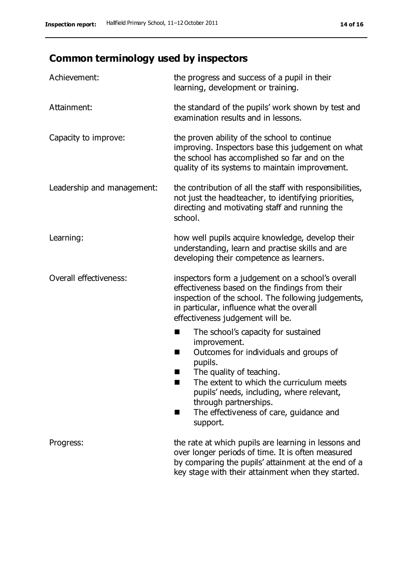# **Common terminology used by inspectors**

| Achievement:               | the progress and success of a pupil in their<br>learning, development or training.                                                                                                                                                                                                                                 |
|----------------------------|--------------------------------------------------------------------------------------------------------------------------------------------------------------------------------------------------------------------------------------------------------------------------------------------------------------------|
| Attainment:                | the standard of the pupils' work shown by test and<br>examination results and in lessons.                                                                                                                                                                                                                          |
| Capacity to improve:       | the proven ability of the school to continue<br>improving. Inspectors base this judgement on what<br>the school has accomplished so far and on the<br>quality of its systems to maintain improvement.                                                                                                              |
| Leadership and management: | the contribution of all the staff with responsibilities,<br>not just the headteacher, to identifying priorities,<br>directing and motivating staff and running the<br>school.                                                                                                                                      |
| Learning:                  | how well pupils acquire knowledge, develop their<br>understanding, learn and practise skills and are<br>developing their competence as learners.                                                                                                                                                                   |
| Overall effectiveness:     | inspectors form a judgement on a school's overall<br>effectiveness based on the findings from their<br>inspection of the school. The following judgements,<br>in particular, influence what the overall<br>effectiveness judgement will be.                                                                        |
|                            | The school's capacity for sustained<br>improvement.<br>Outcomes for individuals and groups of<br>ш<br>pupils.<br>The quality of teaching.<br>The extent to which the curriculum meets<br>pupils' needs, including, where relevant,<br>through partnerships.<br>The effectiveness of care, guidance and<br>support. |
| Progress:                  | the rate at which pupils are learning in lessons and<br>over longer periods of time. It is often measured<br>by comparing the pupils' attainment at the end of a<br>key stage with their attainment when they started.                                                                                             |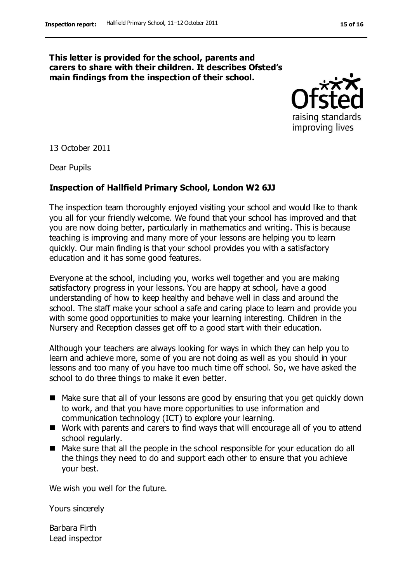#### **This letter is provided for the school, parents and carers to share with their children. It describes Ofsted's main findings from the inspection of their school.**



13 October 2011

Dear Pupils

#### **Inspection of Hallfield Primary School, London W2 6JJ**

The inspection team thoroughly enjoyed visiting your school and would like to thank you all for your friendly welcome. We found that your school has improved and that you are now doing better, particularly in mathematics and writing. This is because teaching is improving and many more of your lessons are helping you to learn quickly. Our main finding is that your school provides you with a satisfactory education and it has some good features.

Everyone at the school, including you, works well together and you are making satisfactory progress in your lessons. You are happy at school, have a good understanding of how to keep healthy and behave well in class and around the school. The staff make your school a safe and caring place to learn and provide you with some good opportunities to make your learning interesting. Children in the Nursery and Reception classes get off to a good start with their education.

Although your teachers are always looking for ways in which they can help you to learn and achieve more, some of you are not doing as well as you should in your lessons and too many of you have too much time off school. So, we have asked the school to do three things to make it even better.

- Make sure that all of your lessons are good by ensuring that you get quickly down to work, and that you have more opportunities to use information and communication technology (ICT) to explore your learning.
- Work with parents and carers to find ways that will encourage all of you to attend school regularly.
- Make sure that all the people in the school responsible for your education do all the things they need to do and support each other to ensure that you achieve your best.

We wish you well for the future.

Yours sincerely

Barbara Firth Lead inspector